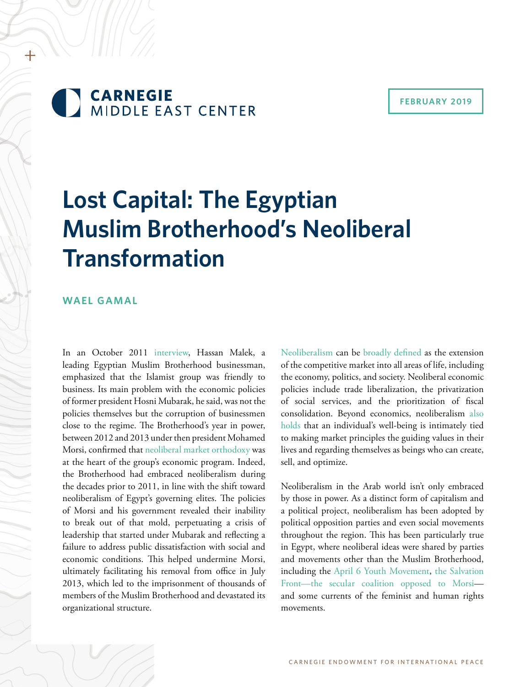

#### **FEBRUARY 2019**

# **Lost Capital: The Egyptian Muslim Brotherhood's Neoliberal Transformation**

#### **WAEL GAMAL**

In an October 2011 [interview](https://www.reuters.com/article/us-egypt-brotherhood-investment/egypt-brotherhood-businessman-manufacturing-is-key-idUSTRE79R1NQ20111028), Hassan Malek, a leading Egyptian Muslim Brotherhood businessman, emphasized that the Islamist group was friendly to business. Its main problem with the economic policies of former president Hosni Mubarak, he said, was not the policies themselves but the corruption of businessmen close to the regime. The Brotherhood's year in power, between 2012 and 2013 under then president Mohamed Morsi, confirmed that [neoliberal market orthodoxy](https://www.sociologylens.net/topics/political-economic-sociology/neoliberalism-consequences/10869) was at the heart of the group's economic program. Indeed, the Brotherhood had embraced neoliberalism during the decades prior to 2011, in line with the shift toward neoliberalism of Egypt's governing elites. The policies of Morsi and his government revealed their inability to break out of that mold, perpetuating a crisis of leadership that started under Mubarak and reflecting a failure to address public dissatisfaction with social and economic conditions. This helped undermine Morsi, ultimately facilitating his removal from office in July 2013, which led to the imprisonment of thousands of members of the Muslim Brotherhood and devastated its organizational structure.

[Neoliberalism](http://fessud.eu/wp-content/uploads/2015/03/13-Things-you-need-to-know-about-Neoliberalism-working-paper155.pdf) can be [broadly defined](https://www.routledge.com/The-Handbook-of-Neoliberalism/Springer-Birch-MacLeavy/p/book/9781138844001) as the extension of the competitive market into all areas of life, including the economy, politics, and society. Neoliberal economic policies include trade liberalization, the privatization of social services, and the prioritization of fiscal consolidation. Beyond economics, neoliberalism [also](https://www.routledge.com/Neoliberal-Culture-Living-with-American-Neoliberalism/Ventura/p/book/9781138115613) [holds](https://www.routledge.com/Neoliberal-Culture-Living-with-American-Neoliberalism/Ventura/p/book/9781138115613) that an individual's well-being is intimately tied to making market principles the guiding values in their lives and regarding themselves as beings who can create, sell, and optimize.

Neoliberalism in the Arab world isn't only embraced by those in power. As a distinct form of capitalism and a political project, neoliberalism has been adopted by political opposition parties and even social movements throughout the region. This has been particularly true in Egypt, where neoliberal ideas were shared by parties and movements other than the Muslim Brotherhood, including the [April 6 Youth Movement](https://carnegieendowment.org/2010/09/22/april-6-youth-movement-pub-54918), [the Salvation](http://english.ahram.org.eg/NewsContentP/4/70059/Opinion/Sons-of-Thatcher-in-the-Brotherhood-and-Salvation-.aspx) [Front—the secular coalition opposed to Morsi](http://english.ahram.org.eg/NewsContentP/4/70059/Opinion/Sons-of-Thatcher-in-the-Brotherhood-and-Salvation-.aspx) and some currents of the feminist and human rights movements.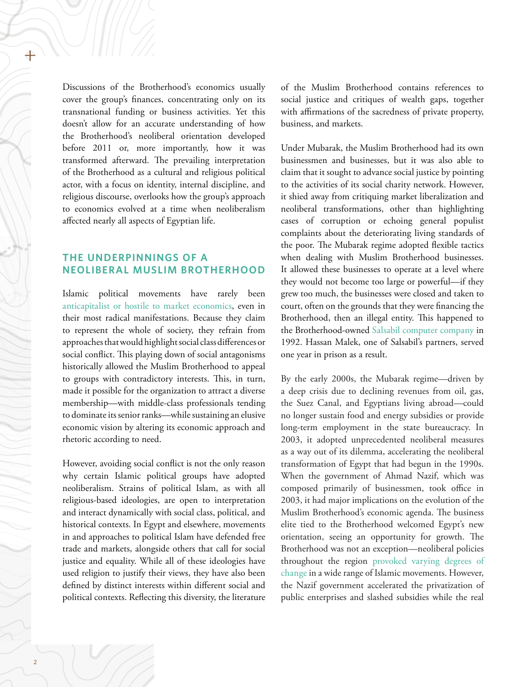Discussions of the Brotherhood's economics usually cover the group's finances, concentrating only on its transnational funding or business activities. Yet this doesn't allow for an accurate understanding of how the Brotherhood's neoliberal orientation developed before 2011 or, more importantly, how it was transformed afterward. The prevailing interpretation of the Brotherhood as a cultural and religious political actor, with a focus on identity, internal discipline, and religious discourse, overlooks how the group's approach to economics evolved at a time when neoliberalism affected nearly all aspects of Egyptian life.

## **THE UNDERPINNINGS OF A NEOLIBERAL MUSLIM BROTHERHOOD**

Islamic political movements have rarely been [anticapitalist or hostile to market economics](https://link.springer.com/content/pdf/10.1057/9781137542991_5.pdf), even in their most radical manifestations. Because they claim to represent the whole of society, they refrain from approaches that would highlight social class differences or social conflict. This playing down of social antagonisms historically allowed the Muslim Brotherhood to appeal to groups with contradictory interests. This, in turn, made it possible for the organization to attract a diverse membership—with middle-class professionals tending to dominate its senior ranks—while sustaining an elusive economic vision by altering its economic approach and rhetoric according to need.

However, avoiding social conflict is not the only reason why certain Islamic political groups have adopted neoliberalism. Strains of political Islam, as with all religious-based ideologies, are open to interpretation and interact dynamically with social class, political, and historical contexts. In Egypt and elsewhere, movements in and approaches to political Islam have defended free trade and markets, alongside others that call for social justice and equality. While all of these ideologies have used religion to justify their views, they have also been defined by distinct interests within different social and political contexts. Reflecting this diversity, the literature

of the Muslim Brotherhood contains references to social justice and critiques of wealth gaps, together with affirmations of the sacredness of private property, business, and markets.

Under Mubarak, the Muslim Brotherhood had its own businessmen and businesses, but it was also able to claim that it sought to advance social justice by pointing to the activities of its social charity network. However, it shied away from critiquing market liberalization and neoliberal transformations, other than highlighting cases of corruption or echoing general populist complaints about the deteriorating living standards of the poor. The Mubarak regime adopted flexible tactics when dealing with Muslim Brotherhood businesses. It allowed these businesses to operate at a level where they would not become too large or powerful—if they grew too much, the businesses were closed and taken to court, often on the grounds that they were financing the Brotherhood, then an illegal entity. This happened to the Brotherhood-owned [Salsabil computer company](https://www.thefreelibrary.com/From+accomodation+to+confrontation:+the+Muslim+Brotherhood+in+the...-a018623950) in 1992. Hassan Malek, one of Salsabil's partners, served one year in prison as a result.

By the early 2000s, the Mubarak regime—driven by a deep crisis due to declining revenues from oil, gas, the Suez Canal, and Egyptians living abroad—could no longer sustain food and energy subsidies or provide long-term employment in the state bureaucracy. In 2003, it adopted unprecedented neoliberal measures as a way out of its dilemma, accelerating the neoliberal transformation of Egypt that had begun in the 1990s. When the government of Ahmad Nazif, which was composed primarily of businessmen, took office in 2003, it had major implications on the evolution of the Muslim Brotherhood's economic agenda. The business elite tied to the Brotherhood welcomed Egypt's new orientation, seeing an opportunity for growth. The Brotherhood was not an exception—neoliberal policies throughout the region [provoked varying degrees of](https://www.academia.edu/9368994/Political_Islam_in_neo-liberal_times) [change](https://www.academia.edu/9368994/Political_Islam_in_neo-liberal_times) in a wide range of Islamic movements. However, the Nazif government accelerated the privatization of public enterprises and slashed subsidies while the real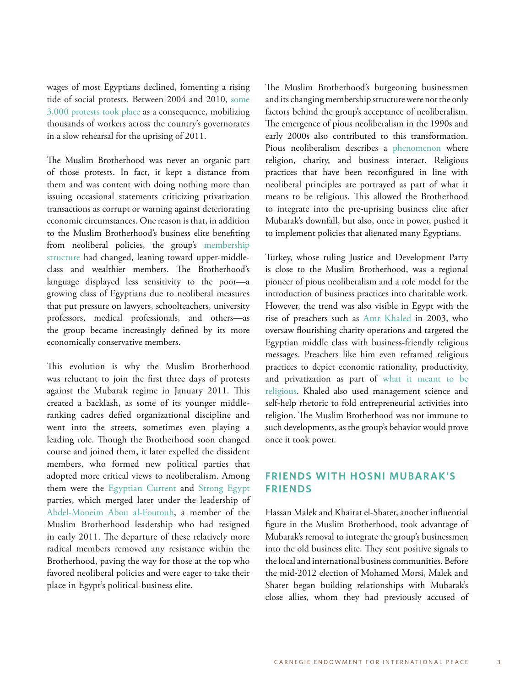wages of most Egyptians declined, fomenting a rising tide of social protests. Between 2004 and 2010, [some](https://carnegieendowment.org/2010/02/17/labor-protest-politics-and-worker-rights-in-egypt-event-2816)  [3,000 protests took place](https://carnegieendowment.org/2010/02/17/labor-protest-politics-and-worker-rights-in-egypt-event-2816) as a consequence, mobilizing thousands of workers across the country's governorates in a slow rehearsal for the uprising of 2011.

The Muslim Brotherhood was never an organic part of those protests. In fact, it kept a distance from them and was content with doing nothing more than issuing occasional statements criticizing privatization transactions as corrupt or warning against deteriorating economic circumstances. One reason is that, in addition to the Muslim Brotherhood's business elite benefiting from neoliberal policies, the group's [membership](https://www.amazon.com/%E2%80%AB%D8%A7%D9%84%D8%A5%D8%AE%D9%88%D8%A7%D9%86-%D8%A7%D9%84%D9%85%D8%B3%D9%84%D9%85%D9%88%D9%86-%D8%B3%D9%86%D9%88%D8%A7%D8%AA-%D8%A7%D9%84%D8%AB%D9%88%D8%B1%D8%A9%E2%80%AC-Arabic-ebook/dp/B076HHFS6B?tag=duckduckgo-d-20) [structure](https://www.amazon.com/%E2%80%AB%D8%A7%D9%84%D8%A5%D8%AE%D9%88%D8%A7%D9%86-%D8%A7%D9%84%D9%85%D8%B3%D9%84%D9%85%D9%88%D9%86-%D8%B3%D9%86%D9%88%D8%A7%D8%AA-%D8%A7%D9%84%D8%AB%D9%88%D8%B1%D8%A9%E2%80%AC-Arabic-ebook/dp/B076HHFS6B?tag=duckduckgo-d-20) had changed, leaning toward upper-middleclass and wealthier members. The Brotherhood's language displayed less sensitivity to the poor—a growing class of Egyptians due to neoliberal measures that put pressure on lawyers, schoolteachers, university professors, medical professionals, and others—as the group became increasingly defined by its more economically conservative members.

This evolution is why the Muslim Brotherhood was reluctant to join the first three days of protests against the Mubarak regime in January 2011. This created a backlash, as some of its younger middleranking cadres defied organizational discipline and went into the streets, sometimes even playing a leading role. Though the Brotherhood soon changed course and joined them, it later expelled the dissident members, who formed new political parties that adopted more critical views to neoliberalism. Among them were the [Egyptian Current](http://english.ahram.org.eg/NewsContent/33/104/26701/Elections-/Political-Parties/The-Egyptian-Current.aspx) and [Strong Egypt](http://www.atlanticcouncil.org/blogs/menasource/strong-egypt-a-party-in-the-middle) parties, which merged later under the leadership of [Abdel-Moneim Abou al-Foutouh,](http://english.ahram.org.eg/NewsContent/36/124/36854/Presidential-elections-/Meet-the-candidates/AbdelMoneim-AbulFotouh.aspx) a member of the Muslim Brotherhood leadership who had resigned in early 2011. The departure of these relatively more radical members removed any resistance within the Brotherhood, paving the way for those at the top who favored neoliberal policies and were eager to take their place in Egypt's political-business elite.

The Muslim Brotherhood's burgeoning businessmen and its changing membership structure were not the only factors behind the group's acceptance of neoliberalism. The emergence of pious neoliberalism in the 1990s and early 2000s also contributed to this transformation. Pious neoliberalism describes a [phenomenon](https://www.collinsbooks.com.au/book/Building-a-House-in-Heaven/9781452939834) where religion, charity, and business interact. Religious practices that have been reconfigured in line with neoliberal principles are portrayed as part of what it means to be religious. This allowed the Brotherhood to integrate into the pre-uprising business elite after Mubarak's downfall, but also, once in power, pushed it to implement policies that alienated many Egyptians.

Turkey, whose ruling Justice and Development Party is close to the Muslim Brotherhood, was a regional pioneer of pious neoliberalism and a role model for the introduction of business practices into charitable work. However, the trend was also visible in Egypt with the rise of preachers such as [Amr Khaled](http://weekly.ahram.org.eg/Archive/2003/639/fe1.htm) in 2003, who oversaw flourishing charity operations and targeted the Egyptian middle class with business-friendly religious messages. Preachers like him even reframed religious practices to depict economic rationality, productivity, and privatization as part of [what it meant to be](https://www.tandfonline.com/doi/abs/10.1080/00045608.2011.627046)  [religious](https://www.tandfonline.com/doi/abs/10.1080/00045608.2011.627046). Khaled also used management science and self-help rhetoric to fold entrepreneurial activities into religion. The Muslim Brotherhood was not immune to such developments, as the group's behavior would prove once it took power.

### **FRIENDS WITH HOSNI MUBARAK'S FRIENDS**

Hassan Malek and Khairat el-Shater, another influential figure in the Muslim Brotherhood, took advantage of Mubarak's removal to integrate the group's businessmen into the old business elite. They sent positive signals to the local and international business communities. Before the mid-2012 election of Mohamed Morsi, Malek and Shater began building relationships with Mubarak's close allies, whom they had previously accused of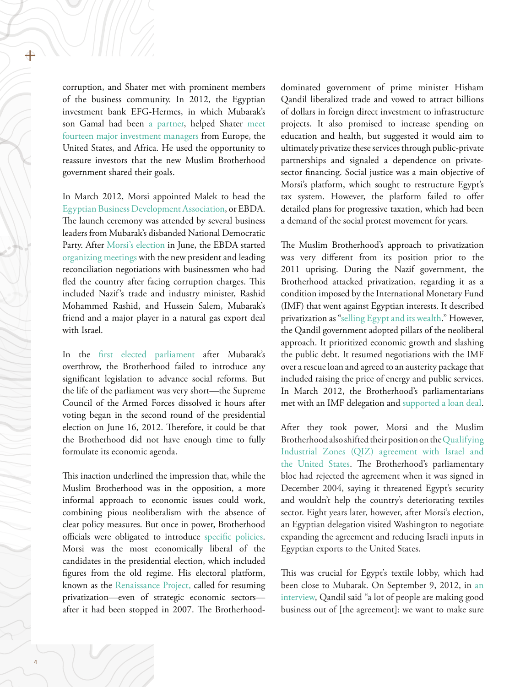corruption, and Shater met with prominent members of the business community. In 2012, the Egyptian investment bank EFG-Hermes, in which Mubarak's son Gamal had been [a partner,](http://chronikler.com/middle-east/egypt/gamal-mubrak-investment/) helped Shater [meet](https://www.salon.com/2012/01/26/the_gop_brotherhood_of_egypt/)  [fourteen major investment managers](https://www.salon.com/2012/01/26/the_gop_brotherhood_of_egypt/) from Europe, the United States, and Africa. He used the opportunity to reassure investors that the new Muslim Brotherhood government shared their goals.

In March 2012, Morsi appointed Malek to head the [Egyptian Business Development Association](http://english.ahram.org.eg/NewsContent/3/12/35579/Business/Economy/First-Brotherhood-businessmen-association-to-hold-.aspx), or EBDA. The launch ceremony was attended by several business leaders from Mubarak's disbanded National Democratic Party. After [Morsi's election](https://www.nytimes.com/2012/06/25/world/middleeast/mohamed-morsi-of-muslim-brotherhood-declared-as-egypts-president.html) in June, the EBDA started [organizing meetings](https://uk.reuters.com/article/us-egypt-economy-brotherhood-idUSBRE89G10L20121017) with the new president and leading reconciliation negotiations with businessmen who had fled the country after facing corruption charges. This included Nazif's trade and industry minister, Rashid Mohammed Rashid, and Hussein Salem, Mubarak's friend and a major player in a natural gas export deal with Israel.

In the [first elected parliament](http://www.bbc.com/arabic/middleeast/2012/01/120123_egypt_palt_hani) after Mubarak's overthrow, the Brotherhood failed to introduce any significant legislation to advance social reforms. But the life of the parliament was very short—the Supreme Council of the Armed Forces dissolved it hours after voting began in the second round of the presidential election on June 16, 2012. Therefore, it could be that the Brotherhood did not have enough time to fully formulate its economic agenda.

This inaction underlined the impression that, while the Muslim Brotherhood was in the opposition, a more informal approach to economic issues could work, combining pious neoliberalism with the absence of clear policy measures. But once in power, Brotherhood officials were obligated to introduce [specific policies](https://carnegie-mec.org/2012/05/29/economic-agenda-of-islamist-parties-pub-48187). Morsi was the most economically liberal of the candidates in the presidential election, which included figures from the old regime. His electoral platform, known as the [Renaissance Project,](https://s3-eu-west-1.amazonaws.com/dr.morsy2012/%D8%A7%D9%84%D8%A8%D8%B1%D9%86%D8%A7%D9%85%D8%AC+%D8%A7%D9%84%D8%B1%D8%A6%D8%A7%D8%B3%D9%8A-%D8%A7%D9%84%D9%86%D8%B3%D8%AE%D8%A9+%D8%A7%D9%84%D9%86%D9%87%D8%A7%D8%A6%D9%8A%D8%A9+%D8%A8%D8%A7%D9%84%D8%BA%D9%84%D8%A7%D9%81.pdf) called for resuming privatization—even of strategic economic sectors after it had been stopped in 2007. The Brotherhooddominated government of prime minister Hisham Qandil liberalized trade and vowed to attract billions of dollars in foreign direct investment to infrastructure projects. It also promised to increase spending on education and health, but suggested it would aim to ultimately privatize these services through public-private partnerships and signaled a dependence on privatesector financing. Social justice was a main objective of Morsi's platform, which sought to restructure Egypt's tax system. However, the platform failed to offer detailed plans for progressive taxation, which had been a demand of the social protest movement for years.

The Muslim Brotherhood's approach to privatization was very different from its position prior to the 2011 uprising. During the Nazif government, the Brotherhood attacked privatization, regarding it as a condition imposed by the International Monetary Fund (IMF) that went against Egyptian interests. It described privatization as ["selling Egypt and its wealth](http://www.ikhwanwiki.com/index.php?title=%D8%B5%D8%A7%D9%84%D9%88%D9%86_%D8%A8%D9%8A%D8%B9_%D8%AB%D8%B1%D9%88%D8%A7%D8%AA_%D9%85%D8%B5%D8%B1)." However, the Qandil government adopted pillars of the neoliberal approach. It prioritized economic growth and slashing the public debt. It resumed negotiations with the IMF over a rescue loan and agreed to an austerity package that included raising the price of energy and public services. In March 2012, the Brotherhood's parliamentarians met with an IMF delegation and [supported a loan deal](https://ara.reuters.com/article/businessNews/idARACAE8270LX20120308).

After they took power, Morsi and the Muslim Brotherhood also shifted their position on the [Qualifying](http://qizegypt.gov.eg/About_QIZ.aspx)  [Industrial Zones \(QIZ\) agreement with Israel and](http://qizegypt.gov.eg/About_QIZ.aspx)  [the United States](http://qizegypt.gov.eg/About_QIZ.aspx). The Brotherhood's parliamentary bloc had rejected the agreement when it was signed in December 2004, saying it threatened Egypt's security and wouldn't help the country's deteriorating textiles sector. Eight years later, however, after Morsi's election, an Egyptian delegation visited Washington to negotiate expanding the agreement and reducing Israeli inputs in Egyptian exports to the United States.

This was crucial for Egypt's textile lobby, which had been close to Mubarak. On September 9, 2012, in [an](https://www.bloomberg.com/news/articles/2012-09-09/qandil-says-egypt-to-sell-sukuk-after-new-law-is-approved-1-)  [interview](https://www.bloomberg.com/news/articles/2012-09-09/qandil-says-egypt-to-sell-sukuk-after-new-law-is-approved-1-), Qandil said "a lot of people are making good business out of [the agreement]: we want to make sure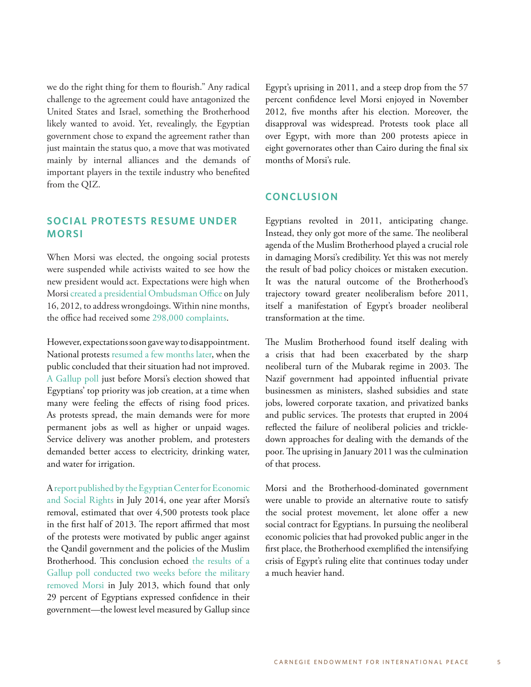we do the right thing for them to flourish." Any radical challenge to the agreement could have antagonized the United States and Israel, something the Brotherhood likely wanted to avoid. Yet, revealingly, the Egyptian government chose to expand the agreement rather than just maintain the status quo, a move that was motivated mainly by internal alliances and the demands of important players in the textile industry who benefited from the QIZ.

### **SOCIAL PROTESTS RESUME UNDER MORSI**

When Morsi was elected, the ongoing social protests were suspended while activists waited to see how the new president would act. Expectations were high when Morsi [created a presidential Ombudsman Office](https://www.opendemocracy.net/5050/leila-zaki-chakravarti/chez-morsi-palace-petitioners-and-street-entrepreneurs-in-post-mubarak-e) on July 16, 2012, to address wrongdoings. Within nine months, the office had received some [298,000 complaints](http://www.ahram.org.eg/News/851/76/215579/%D8%AD%D9%88%D8%A7%D8%B1%D8%A7%D8%AA/%D9%85%D8%B5%D8%B7%D9%81%D9%8A-%D8%A7%D9%84%D8%B4%D8%B1%D8%A8%D8%AA%D9%84%D9%8A-%D8%B1%D8%A6%D9%8A%D8%B3-%D8%AF%D9%8A%D9%88%D8%A7%D9%86-%D8%A7%D9%84%D9%85%D8%B8%D8%A7%D9%84%D9%85-%D8%A8%D8%B1%D8%A6%D8%A7%D8%B3%D8%A9-%D8%A7%D9%84%D8%AC%D9%85%D9%87%D9%88%D8%B1%D9%8A%D8%A9.aspx).

However, expectations soon gave way to disappointment. National protests [resumed a few months later](http://english.ahram.org.eg/NewsContentP/4/75521/Opinion/That-a-revolution,-as-yet-undefeated,-may-succeed.aspx), when the public concluded that their situation had not improved. [A Gallup poll](http://news.gallup.com/poll/155732/Egyptians-Government-Focus-Jobs.aspx?g_source=link_NEWSV9&g_medium=tile_5&g_campaign=item_163796&g_content=Egyptians%2520to%2520Government%3a%2520Focus%2520on%2520Jobs) just before Morsi's election showed that Egyptians' top priority was job creation, at a time when many were feeling the effects of rising food prices. As protests spread, the main demands were for more permanent jobs as well as higher or unpaid wages. Service delivery was another problem, and protesters demanded better access to electricity, drinking water, and water for irrigation.

A [report published by the Egyptian Center for Economic](https://web.archive.org/web/20140717084339/http:/ecesr.org/?p=768677)  [and Social Rights](https://web.archive.org/web/20140717084339/http:/ecesr.org/?p=768677) in July 2014, one year after Morsi's removal, estimated that over 4,500 protests took place in the first half of 2013. The report affirmed that most of the protests were motivated by public anger against the Qandil government and the policies of the Muslim Brotherhood. This conclusion echoed [the results of a](http://news.gallup.com/poll/163796/egyptian-views-government-crashed-overthrow.aspx)  [Gallup poll conducted two weeks before the military](http://news.gallup.com/poll/163796/egyptian-views-government-crashed-overthrow.aspx)  [removed Morsi](http://news.gallup.com/poll/163796/egyptian-views-government-crashed-overthrow.aspx) in July 2013, which found that only 29 percent of Egyptians expressed confidence in their government—the lowest level measured by Gallup since Egypt's uprising in 2011, and a steep drop from the 57 percent confidence level Morsi enjoyed in November 2012, five months after his election. Moreover, the disapproval was widespread. Protests took place all over Egypt, with more than 200 protests apiece in eight governorates other than Cairo during the final six months of Morsi's rule.

#### **CONCLUSION**

Egyptians revolted in 2011, anticipating change. Instead, they only got more of the same. The neoliberal agenda of the Muslim Brotherhood played a crucial role in damaging Morsi's credibility. Yet this was not merely the result of bad policy choices or mistaken execution. It was the natural outcome of the Brotherhood's trajectory toward greater neoliberalism before 2011, itself a manifestation of Egypt's broader neoliberal transformation at the time.

The Muslim Brotherhood found itself dealing with a crisis that had been exacerbated by the sharp neoliberal turn of the Mubarak regime in 2003. The Nazif government had appointed influential private businessmen as ministers, slashed subsidies and state jobs, lowered corporate taxation, and privatized banks and public services. The protests that erupted in 2004 reflected the failure of neoliberal policies and trickledown approaches for dealing with the demands of the poor. The uprising in January 2011 was the culmination of that process.

Morsi and the Brotherhood-dominated government were unable to provide an alternative route to satisfy the social protest movement, let alone offer a new social contract for Egyptians. In pursuing the neoliberal economic policies that had provoked public anger in the first place, the Brotherhood exemplified the intensifying crisis of Egypt's ruling elite that continues today under a much heavier hand.